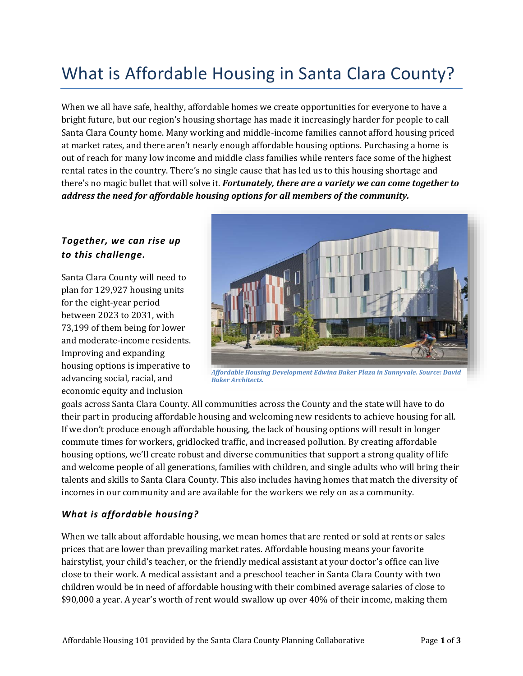# What is Affordable Housing in Santa Clara County?

When we all have safe, healthy, affordable homes we create opportunities for everyone to have a bright future, but our region's housing shortage has made it increasingly harder for people to call Santa Clara County home. Many working and middle-income families cannot afford housing priced at market rates, and there aren't nearly enough affordable housing options. Purchasing a home is out of reach for many low income and middle class families while renters face some of the highest rental rates in the country. There's no single cause that has led us to this housing shortage and there's no magic bullet that will solve it. *Fortunately, there are a variety we can come together to address the need for affordable housing options for all members of the community.* 

## *Together, we can rise up to this challenge.*

Santa Clara County will need to plan for 129,927 housing units for the eight-year period between 2023 to 2031, with 73,199 of them being for lower and moderate-income residents. Improving and expanding housing options is imperative to advancing social, racial, and economic equity and inclusion



*Affordable Housing Development Edwina Baker Plaza in Sunnyvale. Source: David Baker Architects.*

goals across Santa Clara County. All communities across the County and the state will have to do their part in producing affordable housing and welcoming new residents to achieve housing for all. If we don't produce enough affordable housing, the lack of housing options will result in longer commute times for workers, gridlocked traffic, and increased pollution. By creating affordable housing options, we'll create robust and diverse communities that support a strong quality of life and welcome people of all generations, families with children, and single adults who will bring their talents and skills to Santa Clara County. This also includes having homes that match the diversity of incomes in our community and are available for the workers we rely on as a community.

## *What is affordable housing?*

When we talk about affordable housing, we mean homes that are rented or sold at rents or sales prices that are lower than prevailing market rates. Affordable housing means your favorite hairstylist, your child's teacher, or the friendly medical assistant at your doctor's office can live close to their work. A medical assistant and a preschool teacher in Santa Clara County with two children would be in need of affordable housing with their combined average salaries of close to \$90,000 a year. A year's worth of rent would swallow up over 40% of their income, making them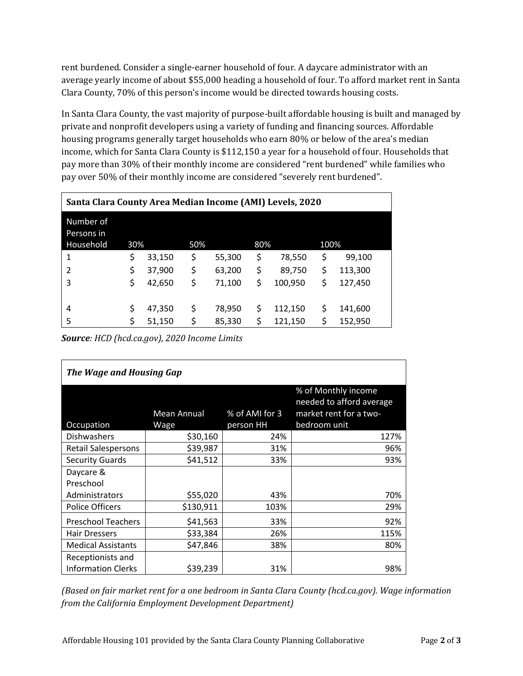rent burdened. Consider a single-earner household of four. A daycare administrator with an average yearly income of about \$55,000 heading a household of four. To afford market rent in Santa Clara County, 70% of this person's income would be directed towards housing costs.

In Santa Clara County, the vast majority of purpose-built affordable housing is built and managed by private and nonprofit developers using a variety of funding and financing sources. Affordable housing programs generally target households who earn 80% or below of the area's median income, which for Santa Clara County is \$112,150 a year for a household of four. Households that pay more than 30% of their monthly income are considered "rent burdened" while families who pay over 50% of their monthly income are considered "severely rent burdened".

| Santa Clara County Area Median Income (AMI) Levels, 2020 |     |        |     |        |     |         |      |         |  |
|----------------------------------------------------------|-----|--------|-----|--------|-----|---------|------|---------|--|
| Number of<br>Persons in<br>Household                     | 30% |        | 50% |        | 80% |         | 100% |         |  |
| 1                                                        | \$  | 33,150 | \$  | 55,300 | \$  | 78,550  | \$   | 99,100  |  |
| 2                                                        | \$  | 37,900 | \$  | 63,200 | \$  | 89,750  | \$   | 113,300 |  |
| 3                                                        | \$  | 42,650 | \$  | 71,100 | \$  | 100,950 | \$   | 127,450 |  |
|                                                          |     |        |     |        |     |         |      |         |  |
| 4                                                        | \$  | 47,350 | \$  | 78,950 | \$  | 112,150 | \$   | 141,600 |  |
| 5                                                        | \$  | 51,150 | \$  | 85,330 | \$  | 121,150 | \$   | 152,950 |  |

*Source: HCD (hcd.ca.gov), 2020 Income Limits*

| The Wage and Housing Gap   |             |                |                                                 |  |  |  |  |  |
|----------------------------|-------------|----------------|-------------------------------------------------|--|--|--|--|--|
|                            |             |                | % of Monthly income<br>needed to afford average |  |  |  |  |  |
|                            | Mean Annual | % of AMI for 3 | market rent for a two-                          |  |  |  |  |  |
| Occupation                 | Wage        | person HH      | bedroom unit                                    |  |  |  |  |  |
| <b>Dishwashers</b>         | \$30,160    | 24%            | 127%                                            |  |  |  |  |  |
| <b>Retail Salespersons</b> | \$39,987    | 31%            | 96%                                             |  |  |  |  |  |
| <b>Security Guards</b>     | \$41,512    | 33%            | 93%                                             |  |  |  |  |  |
| Daycare &                  |             |                |                                                 |  |  |  |  |  |
| Preschool                  |             |                |                                                 |  |  |  |  |  |
| Administrators             | \$55,020    | 43%            | 70%                                             |  |  |  |  |  |
| <b>Police Officers</b>     | \$130,911   | 103%           | 29%                                             |  |  |  |  |  |
| <b>Preschool Teachers</b>  | \$41,563    | 33%            | 92%                                             |  |  |  |  |  |
| <b>Hair Dressers</b>       | \$33,384    | 26%            | 115%                                            |  |  |  |  |  |
| <b>Medical Assistants</b>  | \$47,846    | 38%            | 80%                                             |  |  |  |  |  |
| Receptionists and          |             |                |                                                 |  |  |  |  |  |
| <b>Information Clerks</b>  | \$39,239    | 31%            | 98%                                             |  |  |  |  |  |

*(Based on fair market rent for a one bedroom in Santa Clara County (hcd.ca.gov). Wage information from the California Employment Development Department)*